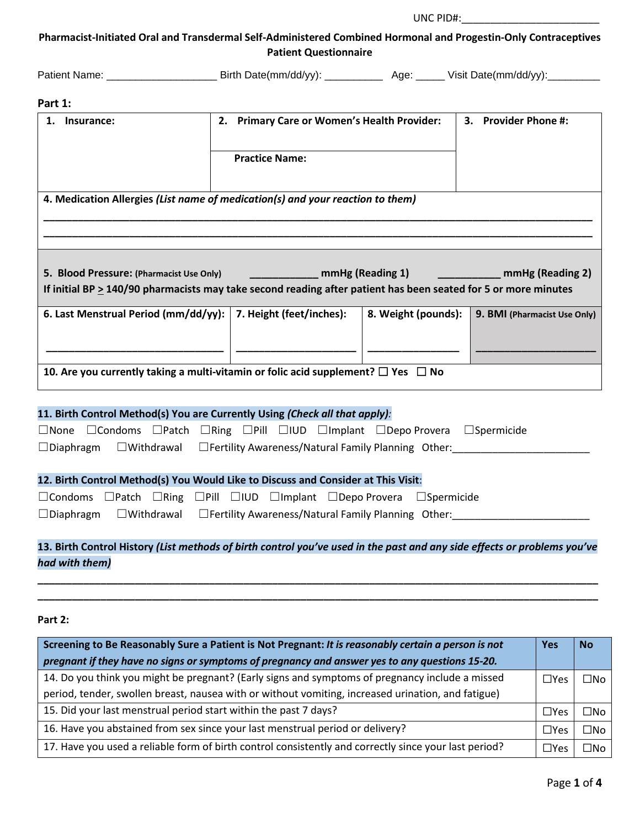UNC PID#:

**Pharmacist-Initiated Oral and Transdermal Self-Administered Combined Hormonal and Progestin-Only Contraceptives Patient Questionnaire**

| <b>Patient Name:</b> | Birth Date(mm/dd/vv). | Aae: | Visit Date(mm/dd/yy). |  |
|----------------------|-----------------------|------|-----------------------|--|
|----------------------|-----------------------|------|-----------------------|--|

#### **Part 1:**

| Insurance:                                                                                                                                                      | <b>Primary Care or Women's Health Provider:</b><br>2. |                     | 3. Provider Phone #:              |
|-----------------------------------------------------------------------------------------------------------------------------------------------------------------|-------------------------------------------------------|---------------------|-----------------------------------|
|                                                                                                                                                                 | <b>Practice Name:</b>                                 |                     |                                   |
| 4. Medication Allergies (List name of medication(s) and your reaction to them)                                                                                  |                                                       |                     |                                   |
|                                                                                                                                                                 |                                                       |                     |                                   |
| 5. Blood Pressure: (Pharmacist Use Only)<br>If initial BP $\geq$ 140/90 pharmacists may take second reading after patient has been seated for 5 or more minutes |                                                       |                     | mmHg (Reading 1) mmHg (Reading 2) |
| 6. Last Menstrual Period (mm/dd/yy):                                                                                                                            | 7. Height (feet/inches):                              | 8. Weight (pounds): | 9. BMI (Pharmacist Use Only)      |
| 10. Are you currently taking a multi-vitamin or folic acid supplement? $\Box$ Yes $\Box$ No                                                                     |                                                       |                     |                                   |
| 11. Birth Control Method(s) You are Currently Using (Check all that apply):                                                                                     |                                                       |                     |                                   |

|  |  |  |                                                                                              |  | $\square$ None $\square$ Condoms $\square$ Patch $\square$ Ring $\square$ Pill $\square$ IUD $\square$ Implant $\square$ Depo Provera $\square$ Spermicide |  |
|--|--|--|----------------------------------------------------------------------------------------------|--|------------------------------------------------------------------------------------------------------------------------------------------------------------|--|
|  |  |  | $\Box$ Diaphragm $\Box$ Withdrawal $\Box$ Fertility Awareness/Natural Family Planning Other: |  |                                                                                                                                                            |  |

### **12. Birth Control Method(s) You Would Like to Discuss and Consider at This Visit**:

|  |  |  | $\Box$ Condoms $\Box$ Patch $\Box$ Ring $\Box$ Pill $\Box$ IUD $\Box$ Implant $\Box$ Depo Provera $\Box$ Spermicide |  |
|--|--|--|---------------------------------------------------------------------------------------------------------------------|--|
|  |  |  | $\Box$ Diaphragm $\Box$ Withdrawal $\Box$ Fertility Awareness/Natural Family Planning Other:                        |  |

# **13. Birth Control History** *(List methods of birth control you've used in the past and any side effects or problems you've had with them)*

**\_\_\_\_\_\_\_\_\_\_\_\_\_\_\_\_\_\_\_\_\_\_\_\_\_\_\_\_\_\_\_\_\_\_\_\_\_\_\_\_\_\_\_\_\_\_\_\_\_\_\_\_\_\_\_\_\_\_\_\_\_\_\_\_\_\_\_\_\_\_\_\_\_\_\_\_\_\_\_\_\_\_\_\_\_\_\_\_\_\_\_\_\_\_\_\_\_\_ \_\_\_\_\_\_\_\_\_\_\_\_\_\_\_\_\_\_\_\_\_\_\_\_\_\_\_\_\_\_\_\_\_\_\_\_\_\_\_\_\_\_\_\_\_\_\_\_\_\_\_\_\_\_\_\_\_\_\_\_\_\_\_\_\_\_\_\_\_\_\_\_\_\_\_\_\_\_\_\_\_\_\_\_\_\_\_\_\_\_\_\_\_\_\_\_\_\_**

**Part 2:**

| Screening to Be Reasonably Sure a Patient is Not Pregnant: It is reasonably certain a person is not   |               |              |  |  |
|-------------------------------------------------------------------------------------------------------|---------------|--------------|--|--|
| pregnant if they have no signs or symptoms of pregnancy and answer yes to any questions 15-20.        |               |              |  |  |
| 14. Do you think you might be pregnant? (Early signs and symptoms of pregnancy include a missed       | $\square$ Yes | $\square$ No |  |  |
| period, tender, swollen breast, nausea with or without vomiting, increased urination, and fatigue)    |               |              |  |  |
| 15. Did your last menstrual period start within the past 7 days?                                      | $\Box$ Yes    | □No          |  |  |
| 16. Have you abstained from sex since your last menstrual period or delivery?                         | $\square$ Yes | $\square$ No |  |  |
| 17. Have you used a reliable form of birth control consistently and correctly since your last period? | $\square$ Yes | ⊐No          |  |  |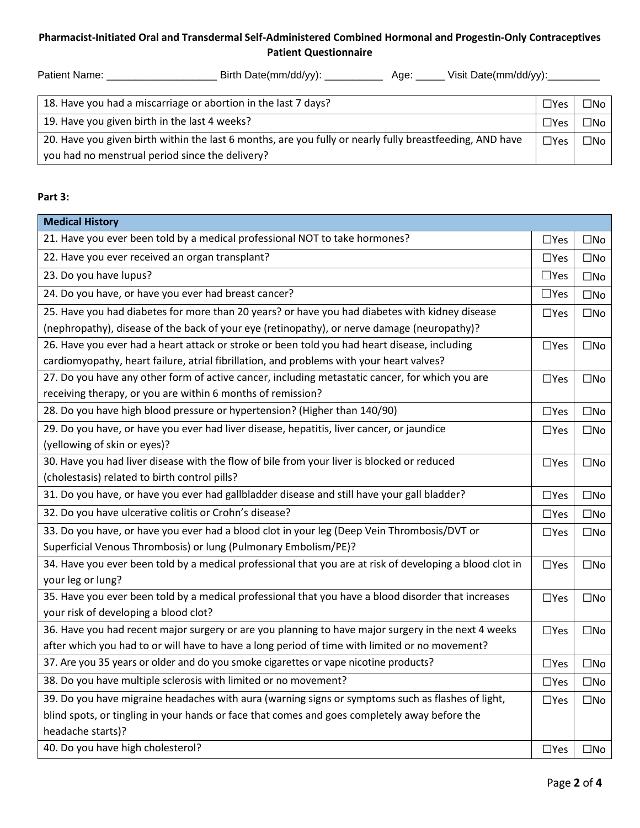## **Pharmacist-Initiated Oral and Transdermal Self-Administered Combined Hormonal and Progestin-Only Contraceptives Patient Questionnaire**

| <b>Patient Name:</b> | Birth Date(mm/dd/vv). | Aae: | Visit Date(mm/dd/yy): |
|----------------------|-----------------------|------|-----------------------|
|                      |                       |      |                       |

| 18. Have you had a miscarriage or abortion in the last 7 days?                                           | $\Box$ Yes    | $\square$ No |
|----------------------------------------------------------------------------------------------------------|---------------|--------------|
| 19. Have you given birth in the last 4 weeks?                                                            | $\square$ Yes | ⊡No          |
| 20. Have you given birth within the last 6 months, are you fully or nearly fully breastfeeding, AND have | $\Box$ Yes    | $\square$ No |
| you had no menstrual period since the delivery?                                                          |               |              |

#### **Part 3:**

| <b>Medical History</b>                                                                                   |               |              |
|----------------------------------------------------------------------------------------------------------|---------------|--------------|
| 21. Have you ever been told by a medical professional NOT to take hormones?                              | $\Box$ Yes    | $\square$ No |
| 22. Have you ever received an organ transplant?                                                          | $\Box$ Yes    | $\square$ No |
| 23. Do you have lupus?                                                                                   | $\square$ Yes | $\square$ No |
| 24. Do you have, or have you ever had breast cancer?                                                     | $\Box$ Yes    | $\square$ No |
| 25. Have you had diabetes for more than 20 years? or have you had diabetes with kidney disease           | $\Box$ Yes    | $\square$ No |
| (nephropathy), disease of the back of your eye (retinopathy), or nerve damage (neuropathy)?              |               |              |
| 26. Have you ever had a heart attack or stroke or been told you had heart disease, including             | $\Box$ Yes    | $\square$ No |
| cardiomyopathy, heart failure, atrial fibrillation, and problems with your heart valves?                 |               |              |
| 27. Do you have any other form of active cancer, including metastatic cancer, for which you are          | $\Box$ Yes    | $\square$ No |
| receiving therapy, or you are within 6 months of remission?                                              |               |              |
| 28. Do you have high blood pressure or hypertension? (Higher than 140/90)                                | $\Box$ Yes    | $\square$ No |
| 29. Do you have, or have you ever had liver disease, hepatitis, liver cancer, or jaundice                | $\Box$ Yes    | $\square$ No |
| (yellowing of skin or eyes)?                                                                             |               |              |
| 30. Have you had liver disease with the flow of bile from your liver is blocked or reduced               | $\Box$ Yes    | $\square$ No |
| (cholestasis) related to birth control pills?                                                            |               |              |
| 31. Do you have, or have you ever had gallbladder disease and still have your gall bladder?              | $\Box$ Yes    | $\square$ No |
| 32. Do you have ulcerative colitis or Crohn's disease?                                                   | $\square$ Yes | $\square$ No |
| 33. Do you have, or have you ever had a blood clot in your leg (Deep Vein Thrombosis/DVT or              | $\Box$ Yes    | $\square$ No |
| Superficial Venous Thrombosis) or lung (Pulmonary Embolism/PE)?                                          |               |              |
| 34. Have you ever been told by a medical professional that you are at risk of developing a blood clot in | $\square$ Yes | $\square$ No |
| your leg or lung?                                                                                        |               |              |
| 35. Have you ever been told by a medical professional that you have a blood disorder that increases      | $\Box$ Yes    | $\square$ No |
| your risk of developing a blood clot?                                                                    |               |              |
| 36. Have you had recent major surgery or are you planning to have major surgery in the next 4 weeks      | $\Box$ Yes    | $\square$ No |
| after which you had to or will have to have a long period of time with limited or no movement?           |               |              |
| 37. Are you 35 years or older and do you smoke cigarettes or vape nicotine products?                     | $\square$ Yes | $\square$ No |
| 38. Do you have multiple sclerosis with limited or no movement?                                          | $\Box$ Yes    | $\square$ No |
| 39. Do you have migraine headaches with aura (warning signs or symptoms such as flashes of light,        | $\Box$ Yes    | $\square$ No |
| blind spots, or tingling in your hands or face that comes and goes completely away before the            |               |              |
| headache starts)?                                                                                        |               |              |
| 40. Do you have high cholesterol?                                                                        | $\Box$ Yes    | $\square$ No |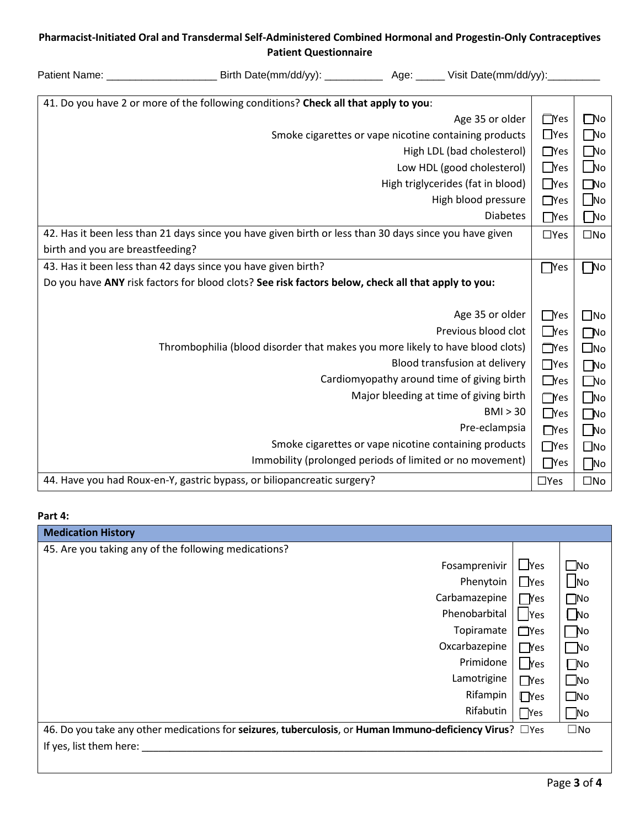# **Pharmacist-Initiated Oral and Transdermal Self-Administered Combined Hormonal and Progestin-Only Contraceptives**

|                                  | Pharmacist-Initiated Oral and Transdermal Self-Administered Combined Hormonal and Progestin-Only Contraceptives<br><b>Patient Questionnaire</b> |                                                       |            |                |
|----------------------------------|-------------------------------------------------------------------------------------------------------------------------------------------------|-------------------------------------------------------|------------|----------------|
|                                  | Patient Name: ___________________________________Birth Date(mm/dd/yy): _____________________________ Nisit Date(mm/dd/yy): ___________          |                                                       |            |                |
|                                  | 41. Do you have 2 or more of the following conditions? Check all that apply to you:                                                             |                                                       |            |                |
|                                  |                                                                                                                                                 | Age 35 or older                                       | $\Box$ Yes | $\square$ No   |
|                                  |                                                                                                                                                 | Smoke cigarettes or vape nicotine containing products | $\Box$ Yes | $\square$ No   |
|                                  |                                                                                                                                                 | High LDL (bad cholesterol)                            | $\Box$ Yes | $\square$ No   |
|                                  |                                                                                                                                                 | Low HDL (good cholesterol)                            | $\Box$ Yes | $\bigsqcup$ No |
|                                  |                                                                                                                                                 | High triglycerides (fat in blood)                     | $\Box$ Yes | $\square$ No   |
|                                  |                                                                                                                                                 | High blood pressure                                   | $\Box$ Yes | $\Box$ No      |
|                                  |                                                                                                                                                 | <b>Diabetes</b>                                       | $\Box$ Yes | $\Box$ No      |
|                                  | 42. Has it been less than 21 days since you have given birth or less than 30 days since you have given                                          |                                                       | $\Box$ Yes | $\square$ No   |
| birth and you are breastfeeding? |                                                                                                                                                 |                                                       |            |                |
|                                  | 43. Has it been less than 42 days since you have given birth?                                                                                   |                                                       | $\Box$ Yes | $\Box$ No      |
|                                  | Do you have ANY risk factors for blood clots? See risk factors below, check all that apply to you:                                              |                                                       |            |                |
|                                  |                                                                                                                                                 | Age 35 or older                                       | $\Box$ Yes | $\square$ No   |
|                                  |                                                                                                                                                 | Previous blood clot                                   | $\Box$ Yes | $\square$ No   |
|                                  | Thrombophilia (blood disorder that makes you more likely to have blood clots)                                                                   |                                                       | $\Box$ Yes | $\square$ No   |
|                                  |                                                                                                                                                 | Blood transfusion at delivery                         | $\Box$ Yes | $\square$ No   |
|                                  |                                                                                                                                                 | Cardiomyopathy around time of giving birth            | $\Box$ Yes | $\Box$ No      |
|                                  |                                                                                                                                                 | Major bleeding at time of giving birth                | $\Box$ Yes | $\Box$ No      |
|                                  |                                                                                                                                                 | BMI > 30                                              | $\Box$ Yes | $\square$ No   |
|                                  |                                                                                                                                                 | Pre-eclampsia                                         | $\Box$ Yes | $\Box$ No      |
|                                  |                                                                                                                                                 | Smoke cigarettes or vape nicotine containing products | $\Box$ Yes | $\square$ No   |

44. Have you had Roux-en-Y, gastric bypass, or biliopancreatic surgery? ☐Yes ☐No

#### **Part 4:**

| <b>Medication History</b>                                                                                |            |              |
|----------------------------------------------------------------------------------------------------------|------------|--------------|
| 45. Are you taking any of the following medications?                                                     |            |              |
| Fosamprenivir                                                                                            | $\Box$ Yes | $\square$ No |
| Phenytoin                                                                                                | $\Box$ Yes | $\Box$ No    |
| Carbamazepine                                                                                            | $\Box$ Yes | $\square$ No |
| Phenobarbital                                                                                            | Yes        | $\Box$ No    |
| Topiramate                                                                                               | $\Box$ Yes | $\Box$ No    |
| Oxcarbazepine                                                                                            | $\Box$ Yes | $\Box$ No    |
| Primidone                                                                                                | $\Box$ Yes | $\Box$ No    |
| Lamotrigine                                                                                              | $\Box$ Yes | $\square$ No |
| Rifampin                                                                                                 | $\Box$ Yes | $\square$ No |
| Rifabutin                                                                                                | $\Box$ Yes | $\Box$ No    |
| 46. Do you take any other medications for seizures, tuberculosis, or Human Immuno-deficiency Virus? D'es |            | $\square$ No |
| If yes, list them here:                                                                                  |            |              |
|                                                                                                          |            |              |

Immobility (prolonged periods of limited or no movement)

☐Yes

☐No